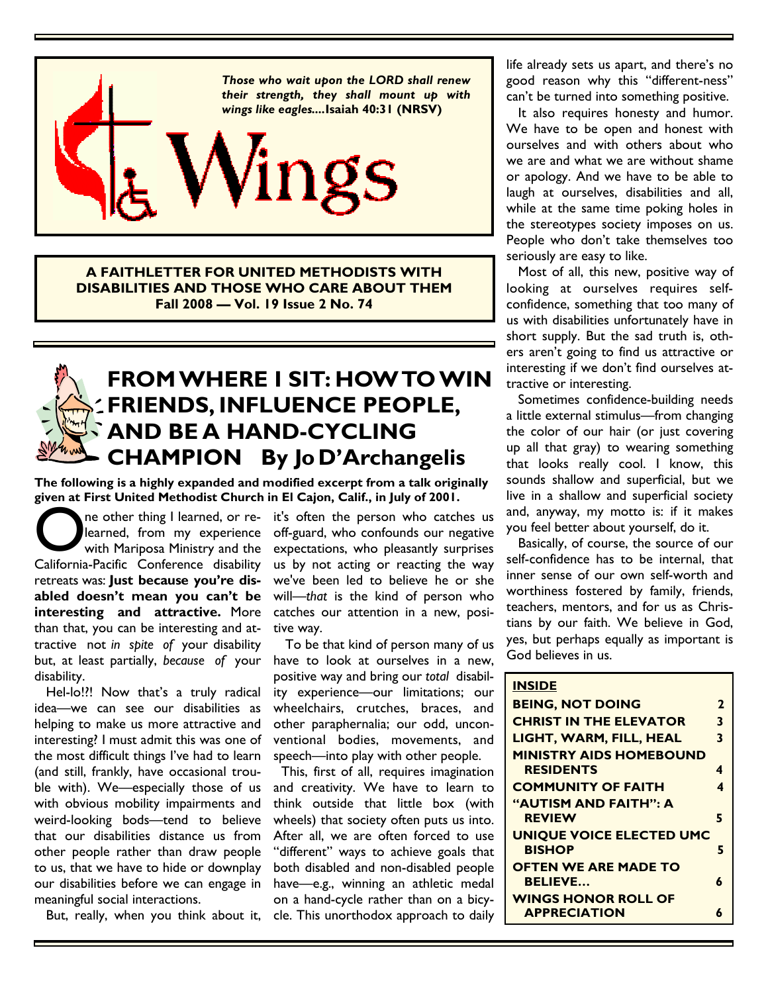

**A FAITHLETTER FOR UNITED METHODISTS WITH DISABILITIES AND THOSE WHO CARE ABOUT THEM Fall 2008 — Vol. 19 Issue 2 No. 74** 

# **FROM WHERE I SIT: HOW TO WIN FRIENDS, INFLUENCE PEOPLE, AND BE A HAND-CYCLING CHAMPION By Jo D'Archangelis**

**The following is a highly expanded and modified excerpt from a talk originally given at First United Methodist Church in El Cajon, Calif., in July of 2001.** 

One other thing I learned, or re-<br>
learned, from my experience<br>
with Mariposa Ministry and the<br>
California-Pacific Conference disability ne other thing I learned, or relearned, from my experience with Mariposa Ministry and the retreats was: **Just because you're disabled doesn't mean you can't be interesting and attractive.** More than that, you can be interesting and attractive not *in spite of* your disability but, at least partially, *because of* your disability.

Hel-lo!!! Now that's a truly radical idea—we can see our disabilities as helping to make us more attractive and interesting? I must admit this was one of the most difficult things I've had to learn (and still, frankly, have occasional trouble with). We—especially those of us with obvious mobility impairments and weird-looking bods—tend to believe that our disabilities distance us from other people rather than draw people to us, that we have to hide or downplay our disabilities before we can engage in meaningful social interactions.

But, really, when you think about it, cle. This unorthodox approach to daily

it's often the person who catches us off-guard, who confounds our negative expectations, who pleasantly surprises us by not acting or reacting the way we've been led to believe he or she will—*that* is the kind of person who catches our attention in a new, positive way.

 To be that kind of person many of us have to look at ourselves in a new, positive way and bring our *total* disability experience—our limitations; our wheelchairs, crutches, braces, and other paraphernalia; our odd, unconventional bodies, movements, and speech—into play with other people.

 This, first of all, requires imagination and creativity. We have to learn to think outside that little box (with wheels) that society often puts us into. After all, we are often forced to use "different" ways to achieve goals that both disabled and non-disabled people have—e.g., winning an athletic medal on a hand-cycle rather than on a bicylife already sets us apart, and there's no good reason why this "different-ness" can't be turned into something positive.

 It also requires honesty and humor. We have to be open and honest with ourselves and with others about who we are and what we are without shame or apology. And we have to be able to laugh at ourselves, disabilities and all, while at the same time poking holes in the stereotypes society imposes on us. People who don't take themselves too seriously are easy to like.

 Most of all, this new, positive way of looking at ourselves requires selfconfidence, something that too many of us with disabilities unfortunately have in short supply. But the sad truth is, others aren't going to find us attractive or interesting if we don't find ourselves attractive or interesting.

 Sometimes confidence-building needs a little external stimulus—from changing the color of our hair (or just covering up all that gray) to wearing something that looks really cool. I know, this sounds shallow and superficial, but we live in a shallow and superficial society and, anyway, my motto is: if it makes you feel better about yourself, do it.

 Basically, of course, the source of our self-confidence has to be internal, that inner sense of our own self-worth and worthiness fostered by family, friends, teachers, mentors, and for us as Christians by our faith. We believe in God, yes, but perhaps equally as important is God believes in us.

| <b>INSIDE</b>                  |              |
|--------------------------------|--------------|
| <b>BEING, NOT DOING</b>        | $\mathbf{2}$ |
| <b>CHRIST IN THE ELEVATOR</b>  | 3            |
| LIGHT, WARM, FILL, HEAL        | 3            |
| <b>MINISTRY AIDS HOMEBOUND</b> |              |
| <b>RESIDENTS</b>               | 4            |
| <b>COMMUNITY OF FAITH</b>      | 4            |
| <b>"AUTISM AND FAITH": A</b>   |              |
| <b>REVIEW</b>                  | 5            |
| UNIQUE VOICE ELECTED UMC       |              |
| <b>BISHOP</b>                  | 5            |
| <b>OFTEN WE ARE MADE TO</b>    |              |
| <b>BELIEVE</b>                 | 6            |
| <b>WINGS HONOR ROLL OF</b>     |              |
| <b>APPRECIATION</b>            |              |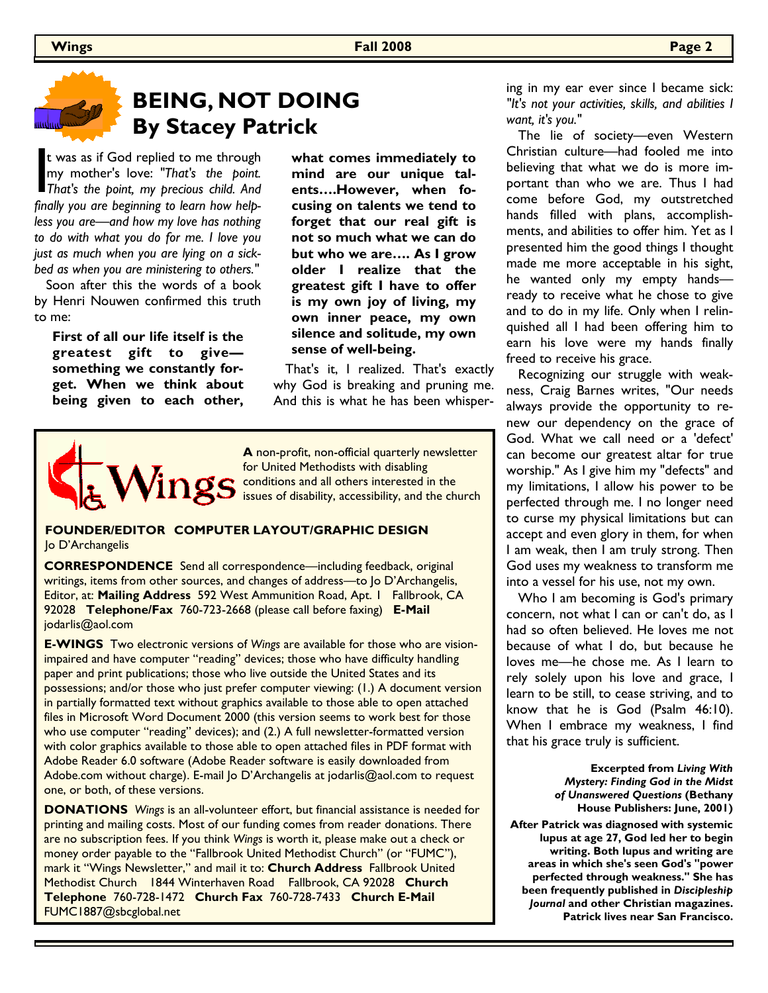

## **BEING, NOT DOING By Stacey Patrick**

t was as if God replied to me through<br>my mother's love: "That's the point.<br>That's the point, my precious child. And<br>finally you are beginning to learn how helpt was as if God replied to me through my mother's love: *"That's the point. finally you are beginning to learn how helpless you are—and how my love has nothing to do with what you do for me. I love you just as much when you are lying on a sickbed as when you are ministering to others."*

 Soon after this the words of a book by Henri Nouwen confirmed this truth to me:

**First of all our life itself is the greatest gift to give something we constantly forget. When we think about being given to each other,**  **what comes immediately to mind are our unique talents….However, when focusing on talents we tend to forget that our real gift is not so much what we can do but who we are…. As I grow older I realize that the greatest gift I have to offer is my own joy of living, my own inner peace, my own silence and solitude, my own sense of well-being.**

That's it, I realized. That's exactly why God is breaking and pruning me. And this is what he has been whisper-



**A** non-profit, non-official quarterly newsletter for United Methodists with disabling conditions and all others interested in the issues of disability, accessibility, and the church

#### **FOUNDER/EDITOR COMPUTER LAYOUT/GRAPHIC DESIGN**  Jo D'Archangelis

**CORRESPONDENCE** Send all correspondence—including feedback, original writings, items from other sources, and changes of address—to Jo D'Archangelis, Editor, at: **Mailing Address** 592 West Ammunition Road, Apt. 1 Fallbrook, CA 92028 **Telephone/Fax** 760-723-2668 (please call before faxing) **E-Mail**  jodarlis@aol.com

**E-WINGS** Two electronic versions of *Wings* are available for those who are visionimpaired and have computer "reading" devices; those who have difficulty handling paper and print publications; those who live outside the United States and its possessions; and/or those who just prefer computer viewing: (1.) A document version in partially formatted text without graphics available to those able to open attached files in Microsoft Word Document 2000 (this version seems to work best for those who use computer "reading" devices); and (2.) A full newsletter-formatted version with color graphics available to those able to open attached files in PDF format with Adobe Reader 6.0 software (Adobe Reader software is easily downloaded from Adobe.com without charge). E-mail Jo D'Archangelis at jodarlis@aol.com to request one, or both, of these versions.

**DONATIONS** *Wings* is an all-volunteer effort, but financial assistance is needed for printing and mailing costs. Most of our funding comes from reader donations. There are no subscription fees. If you think *Wings* is worth it, please make out a check or money order payable to the "Fallbrook United Methodist Church" (or "FUMC"), mark it "Wings Newsletter," and mail it to: **Church Address** Fallbrook United Methodist Church 1844 Winterhaven Road Fallbrook, CA 92028 **Church Telephone** 760-728-1472 **Church Fax** 760-728-7433 **Church E-Mail**  FUMC1887@sbcglobal.net

ing in my ear ever since I became sick: *"It's not your activities, skills, and abilities I want, it's you."* 

 The lie of society—even Western Christian culture—had fooled me into believing that what we do is more important than who we are. Thus I had come before God, my outstretched hands filled with plans, accomplishments, and abilities to offer him. Yet as I presented him the good things I thought made me more acceptable in his sight, he wanted only my empty hands ready to receive what he chose to give and to do in my life. Only when I relinquished all I had been offering him to earn his love were my hands finally freed to receive his grace.

 Recognizing our struggle with weakness, Craig Barnes writes, "Our needs always provide the opportunity to renew our dependency on the grace of God. What we call need or a 'defect' can become our greatest altar for true worship." As I give him my "defects" and my limitations, I allow his power to be perfected through me. I no longer need to curse my physical limitations but can accept and even glory in them, for when I am weak, then I am truly strong. Then God uses my weakness to transform me into a vessel for his use, not my own.

 Who I am becoming is God's primary concern, not what I can or can't do, as I had so often believed. He loves me not because of what I do, but because he loves me—he chose me. As I learn to rely solely upon his love and grace, I learn to be still, to cease striving, and to know that he is God (Psalm 46:10). When I embrace my weakness, I find that his grace truly is sufficient.

> **Excerpted from** *Living With Mystery: Finding God in the Midst of Unanswered Questions* **(Bethany House Publishers: June, 2001)**

**After Patrick was diagnosed with systemic lupus at age 27, God led her to begin writing. Both lupus and writing are areas in which she's seen God's "power perfected through weakness." She has been frequently published in** *Discipleship Journal* **and other Christian magazines. Patrick lives near San Francisco.**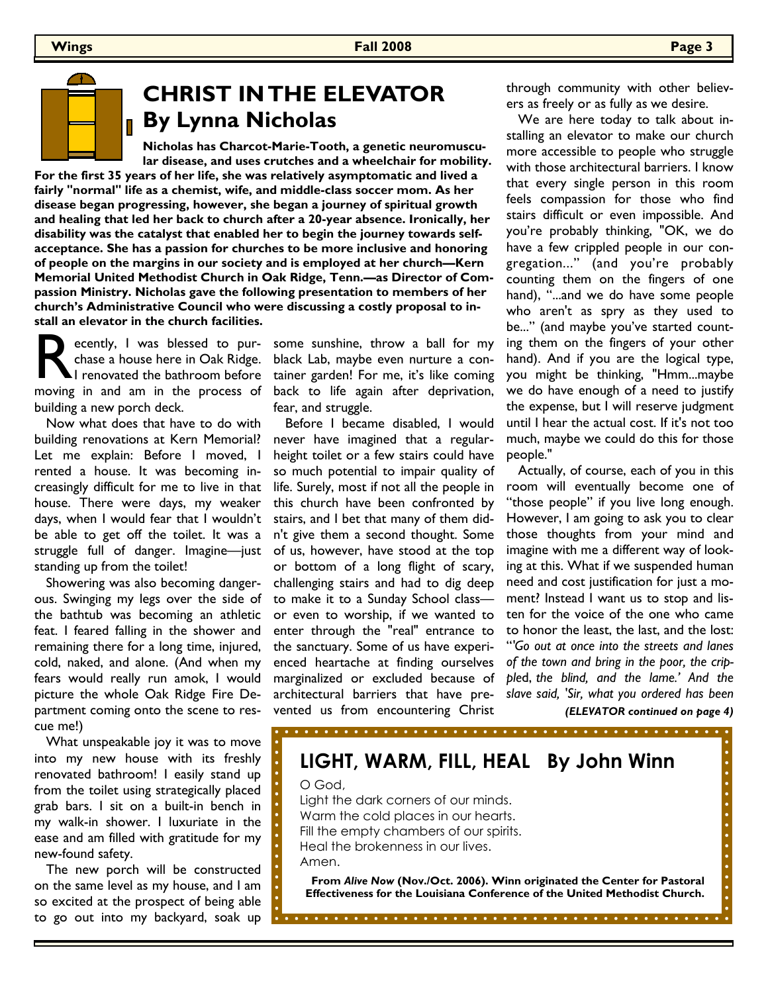

#### **CHRIST IN THE ELEVATOR By Lynna Nicholas**

**Nicholas has Charcot-Marie-Tooth, a genetic neuromuscular disease, and uses crutches and a wheelchair for mobility. For the first 35 years of her life, she was relatively asymptomatic and lived a fairly "normal" life as a chemist, wife, and middle-class soccer mom. As her disease began progressing, however, she began a journey of spiritual growth and healing that led her back to church after a 20-year absence. Ironically, her disability was the catalyst that enabled her to begin the journey towards selfacceptance. She has a passion for churches to be more inclusive and honoring of people on the margins in our society and is employed at her church—Kern Memorial United Methodist Church in Oak Ridge, Tenn.—as Director of Compassion Ministry. Nicholas gave the following presentation to members of her church's Administrative Council who were discussing a costly proposal to install an elevator in the church facilities.** 

Recently, I was blessed to pur-<br>chase a house here in Oak Ridge.<br>I renovated the bathroom before<br>moving in and am in the process of ecently, I was blessed to purchase a house here in Oak Ridge. I renovated the bathroom before building a new porch deck.

 Now what does that have to do with building renovations at Kern Memorial? Let me explain: Before I moved, I rented a house. It was becoming increasingly difficult for me to live in that house. There were days, my weaker days, when I would fear that I wouldn't be able to get off the toilet. It was a struggle full of danger. Imagine—just standing up from the toilet!

 Showering was also becoming dangerous. Swinging my legs over the side of the bathtub was becoming an athletic feat. I feared falling in the shower and remaining there for a long time, injured, cold, naked, and alone. (And when my fears would really run amok, I would picture the whole Oak Ridge Fire Department coming onto the scene to rescue me!)

 What unspeakable joy it was to move into my new house with its freshly renovated bathroom! I easily stand up from the toilet using strategically placed grab bars. I sit on a built-in bench in my walk-in shower. I luxuriate in the ease and am filled with gratitude for my new-found safety.

 The new porch will be constructed on the same level as my house, and I am so excited at the prospect of being able to go out into my backyard, soak up some sunshine, throw a ball for my black Lab, maybe even nurture a container garden! For me, it's like coming back to life again after deprivation, fear, and struggle.

 Before I became disabled, I would never have imagined that a regularheight toilet or a few stairs could have so much potential to impair quality of life. Surely, most if not all the people in this church have been confronted by stairs, and I bet that many of them didn't give them a second thought. Some of us, however, have stood at the top or bottom of a long flight of scary, challenging stairs and had to dig deep to make it to a Sunday School class or even to worship, if we wanted to enter through the "real" entrance to the sanctuary. Some of us have experienced heartache at finding ourselves marginalized or excluded because of architectural barriers that have prevented us from encountering Christ

through community with other believers as freely or as fully as we desire.

 We are here today to talk about installing an elevator to make our church more accessible to people who struggle with those architectural barriers. I know that every single person in this room feels compassion for those who find stairs difficult or even impossible. And you're probably thinking, "OK, we do have a few crippled people in our congregation..." (and you're probably counting them on the fingers of one hand), "...and we do have some people who aren't as spry as they used to be..." (and maybe you've started counting them on the fingers of your other hand). And if you are the logical type, you might be thinking, "Hmm...maybe we do have enough of a need to justify the expense, but I will reserve judgment until I hear the actual cost. If it's not too much, maybe we could do this for those people."

 Actually, of course, each of you in this room will eventually become one of "those people" if you live long enough. However, I am going to ask you to clear those thoughts from your mind and imagine with me a different way of looking at this. What if we suspended human need and cost justification for just a moment? Instead I want us to stop and listen for the voice of the one who came to honor the least, the last, and the lost: "*'Go out at once into the streets and lanes of the town and bring in the poor, the cripple*d, *the blind, and the lame.' And the slave said, 'Sir, what you ordered has been* 

*(ELEVATOR continued on page 4)*

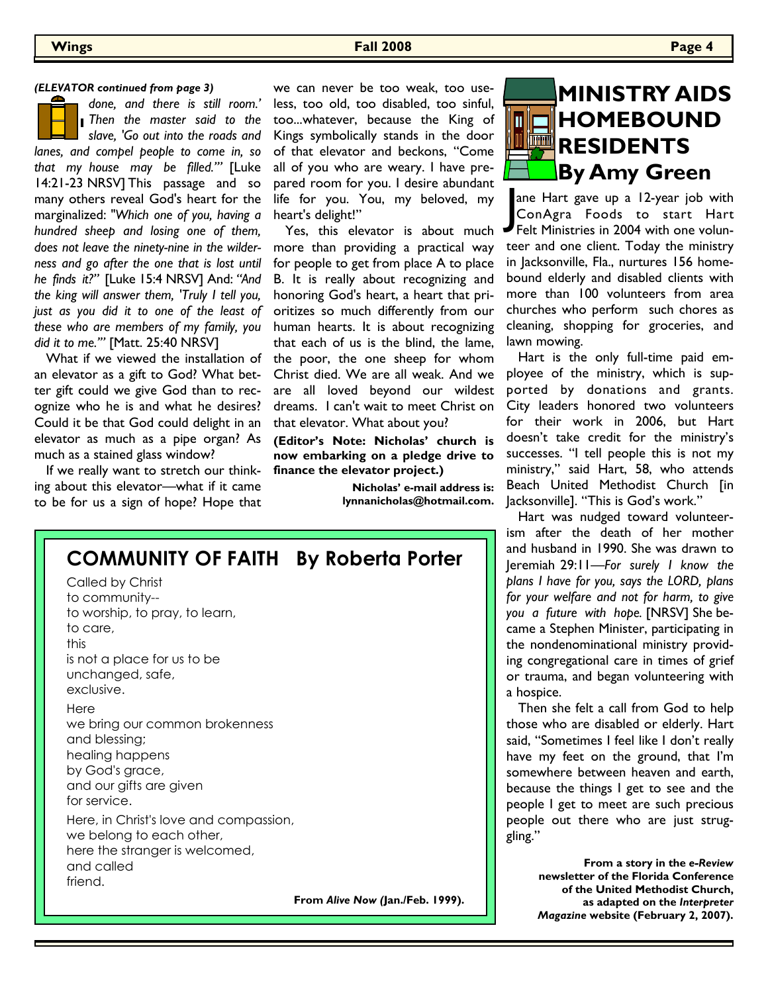#### *(ELEVATOR continued from page 3)*

*done, and there is still room.' Then the master said to the slave, 'Go out into the roads and lanes, and compel people to come in, so that my house may be filled.'"* [Luke 14:21-23 NRSV] This passage and so many others reveal God's heart for the marginalized: *"Which one of you, having a hundred sheep and losing one of them, does not leave the ninety-nine in the wilderness and go after the one that is lost until he finds it?"* [Luke 15:4 NRSV] And: *"And the king will answer them, 'Truly I tell you, just as you did it to one of the least of these who are members of my family, you did it to me.'"* [Matt. 25:40 NRSV]

 What if we viewed the installation of an elevator as a gift to God? What better gift could we give God than to recognize who he is and what he desires? Could it be that God could delight in an elevator as much as a pipe organ? As much as a stained glass window?

 If we really want to stretch our thinking about this elevator—what if it came to be for us a sign of hope? Hope that

we can never be too weak, too useless, too old, too disabled, too sinful, too...whatever, because the King of Kings symbolically stands in the door of that elevator and beckons, "Come all of you who are weary. I have prepared room for you. I desire abundant life for you. You, my beloved, my heart's delight!"

 Yes, this elevator is about much more than providing a practical way for people to get from place A to place B. It is really about recognizing and honoring God's heart, a heart that prioritizes so much differently from our human hearts. It is about recognizing that each of us is the blind, the lame, the poor, the one sheep for whom Christ died. We are all weak. And we are all loved beyond our wildest dreams. I can't wait to meet Christ on that elevator. What about you?

**(Editor's Note: Nicholas' church is now embarking on a pledge drive to finance the elevator project.)** 

> **Nicholas' e-mail address is: lynnanicholas@hotmail.com.**



ane Hart gave up a 12-year job with<br>ConAgra Foods to start Hart<br>Felt Ministries in 2004 with one volunane Hart gave up a 12-year job with ConAgra Foods to start Hart teer and one client. Today the ministry in Jacksonville, Fla., nurtures 156 homebound elderly and disabled clients with more than 100 volunteers from area churches who perform such chores as cleaning, shopping for groceries, and lawn mowing.

 Hart is the only full-time paid employee of the ministry, which is supported by donations and grants. City leaders honored two volunteers for their work in 2006, but Hart doesn't take credit for the ministry's successes. "I tell people this is not my ministry," said Hart, 58, who attends Beach United Methodist Church [in Jacksonville]. "This is God's work."

 Hart was nudged toward volunteerism after the death of her mother and husband in 1990. She was drawn to Jeremiah 29:11—*For surely I know the plans I have for you, says the LORD, plans for your welfare and not for harm, to give you a future with hope.* [NRSV] She became a Stephen Minister, participating in the nondenominational ministry providing congregational care in times of grief or trauma, and began volunteering with a hospice.

 Then she felt a call from God to help those who are disabled or elderly. Hart said, "Sometimes I feel like I don't really have my feet on the ground, that I'm somewhere between heaven and earth, because the things I get to see and the people I get to meet are such precious people out there who are just struggling."

> **From a story in the** *e-Review*  **newsletter of the Florida Conference of the United Methodist Church, as adapted on the** *Interpreter Magazine* **website (February 2, 2007).**

| <b>COMMUNITY OF FAITH By Roberta Porter</b><br>Called by Christ<br>to community--<br>to worship, to pray, to learn,<br>to care,<br>this<br>is not a place for us to be<br>unchanged, safe,<br>exclusive. |                                  |
|----------------------------------------------------------------------------------------------------------------------------------------------------------------------------------------------------------|----------------------------------|
| Here<br>we bring our common brokenness<br>and blessing;<br>healing happens<br>by God's grace,<br>and our gifts are given<br>for service.                                                                 |                                  |
| Here, in Christ's love and compassion,<br>we belong to each other,<br>here the stranger is welcomed,<br>and called<br>friend.                                                                            |                                  |
|                                                                                                                                                                                                          | From Alive Now (Jan./Feb. 1999). |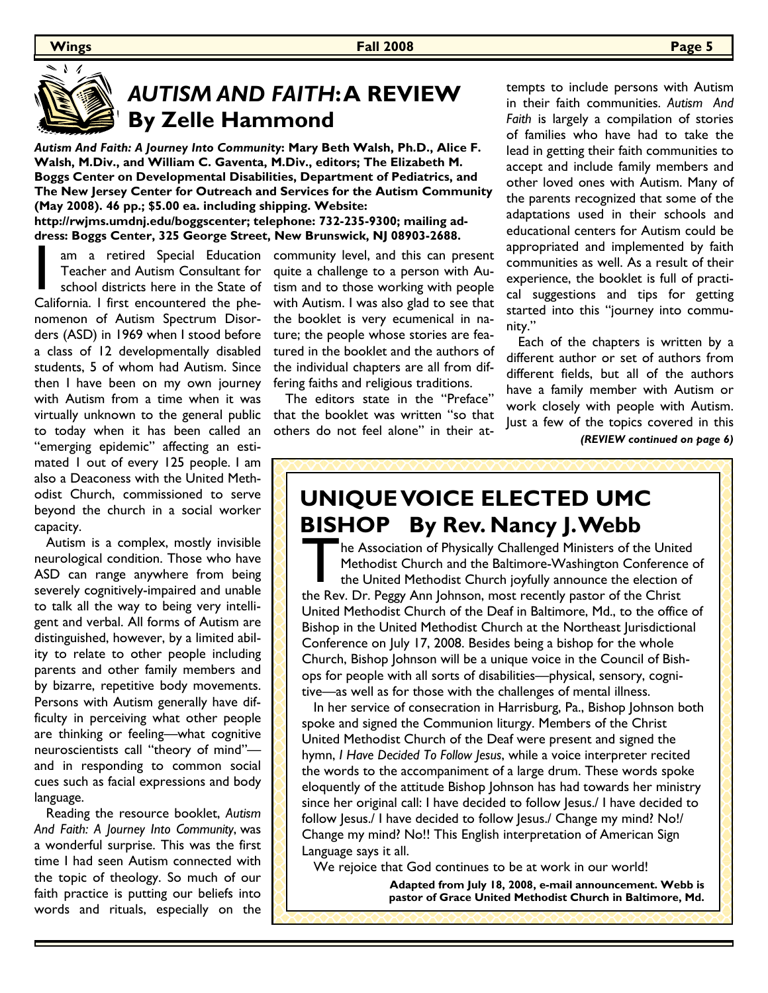## *AUTISM AND FAITH***: A REVIEW By Zelle Hammond**

*Autism And Faith: A Journey Into Community***: Mary Beth Walsh, Ph.D., Alice F. Walsh, M.Div., and William C. Gaventa, M.Div., editors; The Elizabeth M. Boggs Center on Developmental Disabilities, Department of Pediatrics, and The New Jersey Center for Outreach and Services for the Autism Community (May 2008). 46 pp.; \$5.00 ea. including shipping. Website:** 

**http://rwjms.umdnj.edu/boggscenter; telephone: 732-235-9300; mailing address: Boggs Center, 325 George Street, New Brunswick, NJ 08903-2688.** 

virtually unknown to the general public that the booklet was written "so that am a retired Special Education<br>
Teacher and Autism Consultant for<br>
school districts here in the State of<br>
California. I first encountered the phe-Teacher and Autism Consultant for school districts here in the State of nomenon of Autism Spectrum Disorders (ASD) in 1969 when I stood before a class of 12 developmentally disabled students, 5 of whom had Autism. Since then I have been on my own journey with Autism from a time when it was to today when it has been called an "emerging epidemic" affecting an estimated 1 out of every 125 people. I am also a Deaconess with the United Methodist Church, commissioned to serve beyond the church in a social worker capacity.

 Autism is a complex, mostly invisible neurological condition. Those who have ASD can range anywhere from being severely cognitively-impaired and unable to talk all the way to being very intelligent and verbal. All forms of Autism are distinguished, however, by a limited ability to relate to other people including parents and other family members and by bizarre, repetitive body movements. Persons with Autism generally have difficulty in perceiving what other people are thinking or feeling—what cognitive neuroscientists call "theory of mind" and in responding to common social cues such as facial expressions and body language.

 Reading the resource booklet, *Autism And Faith: A Journey Into Community*, was a wonderful surprise. This was the first time I had seen Autism connected with the topic of theology. So much of our faith practice is putting our beliefs into words and rituals, especially on the

am a retired Special Education community level, and this can present quite a challenge to a person with Autism and to those working with people with Autism. I was also glad to see that the booklet is very ecumenical in nature; the people whose stories are featured in the booklet and the authors of the individual chapters are all from differing faiths and religious traditions.

> The editors state in the "Preface" others do not feel alone" in their at

tempts to include persons with Autism in their faith communities. *Autism And Faith* is largely a compilation of stories of families who have had to take the lead in getting their faith communities to accept and include family members and other loved ones with Autism. Many of the parents recognized that some of the adaptations used in their schools and educational centers for Autism could be appropriated and implemented by faith communities as well. As a result of their experience, the booklet is full of practical suggestions and tips for getting started into this "journey into community."

 Each of the chapters is written by a different author or set of authors from different fields, but all of the authors have a family member with Autism or work closely with people with Autism. Just a few of the topics covered in this *(REVIEW continued on page 6)*

# **UNIQUE VOICE ELECTED UMC BISHOP By Rev. Nancy J. Webb**

The Association of Physically Challenged Ministers of the Unite<br>Methodist Church and the Baltimore-Washington Conference<br>the United Methodist Church joyfully announce the election<br>the Rev. Dr. Peggy Ann Johnson, most recen he Association of Physically Challenged Ministers of the United Methodist Church and the Baltimore-Washington Conference of the United Methodist Church joyfully announce the election of United Methodist Church of the Deaf in Baltimore, Md., to the office of Bishop in the United Methodist Church at the Northeast Jurisdictional Conference on July 17, 2008. Besides being a bishop for the whole Church, Bishop Johnson will be a unique voice in the Council of Bishops for people with all sorts of disabilities—physical, sensory, cognitive—as well as for those with the challenges of mental illness.

 In her service of consecration in Harrisburg, Pa., Bishop Johnson both spoke and signed the Communion liturgy. Members of the Christ United Methodist Church of the Deaf were present and signed the hymn, *I Have Decided To Follow Jesus*, while a voice interpreter recited the words to the accompaniment of a large drum. These words spoke eloquently of the attitude Bishop Johnson has had towards her ministry since her original call: I have decided to follow Jesus./ I have decided to follow Jesus./ I have decided to follow Jesus./ Change my mind? No!/ Change my mind? No!! This English interpretation of American Sign Language says it all.

We rejoice that God continues to be at work in our world!

**Adapted from July 18, 2008, e-mail announcement. Webb is pastor of Grace United Methodist Church in Baltimore, Md.**